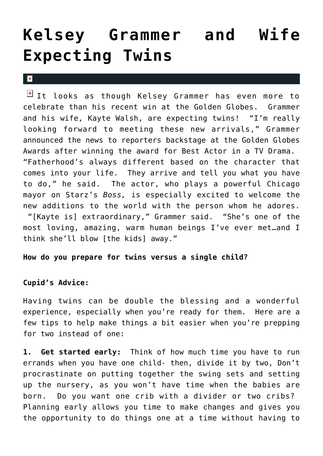## **[Kelsey Grammer and Wife](https://cupidspulse.com/25399/kelsey-grammer-wife-kayte-expecting-twins-announcement-golden-globes/) [Expecting Twins](https://cupidspulse.com/25399/kelsey-grammer-wife-kayte-expecting-twins-announcement-golden-globes/)**

 $\mathbf{x}$ 

 $I$  It looks as though Kelsey Grammer has even more to celebrate than his recent win at the Golden Globes. Grammer and his wife, Kayte Walsh, are expecting twins! "I'm really looking forward to meeting these new arrivals," Grammer announced the news to reporters backstage at the Golden Globes Awards after winning the award for Best Actor in a TV Drama. "Fatherhood's always different based on the character that comes into your life. They arrive and tell you what you have to do," he said. The actor, who plays a powerful Chicago mayor on Starz's *Boss,* is especially excited to welcome the new additions to the world with the person whom he adores. "[Kayte is] extraordinary," Grammer said. "She's one of the most loving, amazing, warm human beings I've ever met…and I think she'll blow [the kids] away."

## **How do you prepare for twins versus a single child?**

## **Cupid's Advice:**

Having twins can be double the blessing and a wonderful experience, especially when you're ready for them. Here are a few tips to help make things a bit easier when you're prepping for two instead of one:

**1. Get started early:** Think of how much time you have to run errands when you have one child- then, divide it by two, Don't procrastinate on putting together the swing sets and setting up the nursery, as you won't have time when the babies are born. Do you want one crib with a divider or two cribs? Planning early allows you time to make changes and gives you the opportunity to do things one at a time without having to